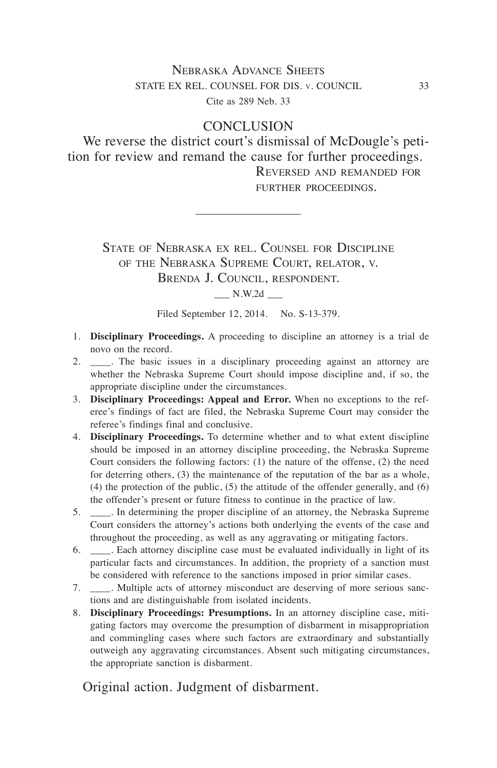## Nebraska Advance Sheets STATE EX REL. COUNSEL FOR DIS. v. COUNCIL 33 Cite as 289 Neb. 33

## **CONCLUSION**

We reverse the district court's dismissal of McDougle's petition for review and remand the cause for further proceedings. Reversed and remanded for

further proceedings.

State of Nebraska ex rel. Counsel for Discipline of the Nebraska Supreme Court, relator, v. Brenda J. Council, respondent.

\_\_\_ N.W.2d \_\_\_

Filed September 12, 2014. No. S-13-379.

- 1. **Disciplinary Proceedings.** A proceeding to discipline an attorney is a trial de novo on the record.
- 2. \_\_\_\_. The basic issues in a disciplinary proceeding against an attorney are whether the Nebraska Supreme Court should impose discipline and, if so, the appropriate discipline under the circumstances.
- 3. **Disciplinary Proceedings: Appeal and Error.** When no exceptions to the referee's findings of fact are filed, the Nebraska Supreme Court may consider the referee's findings final and conclusive.
- 4. **Disciplinary Proceedings.** To determine whether and to what extent discipline should be imposed in an attorney discipline proceeding, the Nebraska Supreme Court considers the following factors: (1) the nature of the offense, (2) the need for deterring others, (3) the maintenance of the reputation of the bar as a whole, (4) the protection of the public, (5) the attitude of the offender generally, and (6) the offender's present or future fitness to continue in the practice of law.
- 5. \_\_\_\_. In determining the proper discipline of an attorney, the Nebraska Supreme Court considers the attorney's actions both underlying the events of the case and throughout the proceeding, as well as any aggravating or mitigating factors.
- 6. \_\_\_\_. Each attorney discipline case must be evaluated individually in light of its particular facts and circumstances. In addition, the propriety of a sanction must be considered with reference to the sanctions imposed in prior similar cases.
- 7. \_\_\_\_. Multiple acts of attorney misconduct are deserving of more serious sanctions and are distinguishable from isolated incidents.
- 8. **Disciplinary Proceedings: Presumptions.** In an attorney discipline case, mitigating factors may overcome the presumption of disbarment in misappropriation and commingling cases where such factors are extraordinary and substantially outweigh any aggravating circumstances. Absent such mitigating circumstances, the appropriate sanction is disbarment.

Original action. Judgment of disbarment.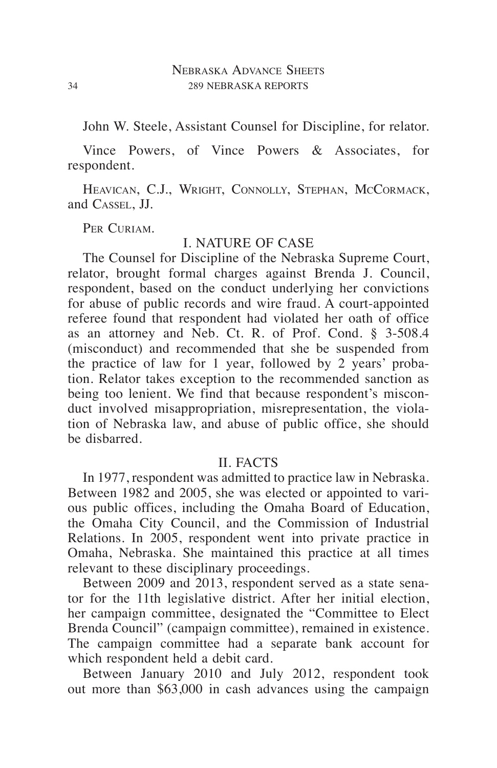John W. Steele, Assistant Counsel for Discipline, for relator.

Vince Powers, of Vince Powers & Associates, for respondent.

HEAVICAN, C.J., WRIGHT, CONNOLLY, STEPHAN, MCCORMACK, and Cassel, JJ.

PER CURIAM.

#### I. NATURE OF CASE

The Counsel for Discipline of the Nebraska Supreme Court, relator, brought formal charges against Brenda J. Council, respondent, based on the conduct underlying her convictions for abuse of public records and wire fraud. A court-appointed referee found that respondent had violated her oath of office as an attorney and Neb. Ct. R. of Prof. Cond. § 3-508.4 (misconduct) and recommended that she be suspended from the practice of law for 1 year, followed by 2 years' probation. Relator takes exception to the recommended sanction as being too lenient. We find that because respondent's misconduct involved misappropriation, misrepresentation, the violation of Nebraska law, and abuse of public office, she should be disbarred.

#### II. FACTS

In 1977, respondent was admitted to practice law in Nebraska. Between 1982 and 2005, she was elected or appointed to various public offices, including the Omaha Board of Education, the Omaha City Council, and the Commission of Industrial Relations. In 2005, respondent went into private practice in Omaha, Nebraska. She maintained this practice at all times relevant to these disciplinary proceedings.

Between 2009 and 2013, respondent served as a state senator for the 11th legislative district. After her initial election, her campaign committee, designated the "Committee to Elect Brenda Council" (campaign committee), remained in existence. The campaign committee had a separate bank account for which respondent held a debit card.

Between January 2010 and July 2012, respondent took out more than \$63,000 in cash advances using the campaign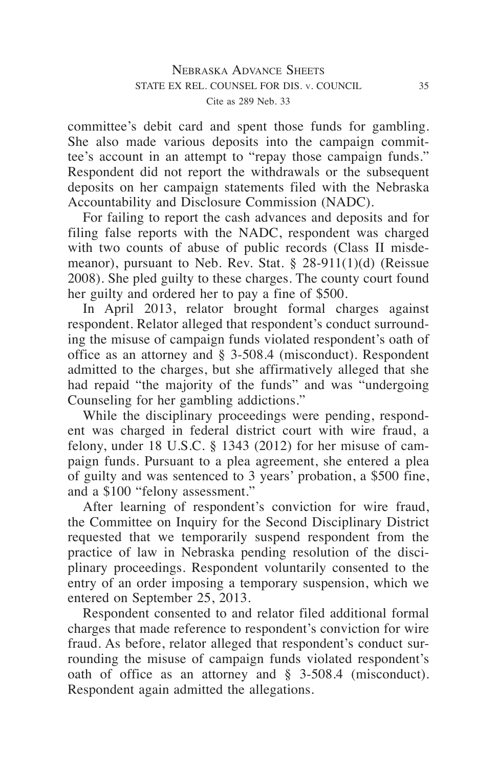committee's debit card and spent those funds for gambling. She also made various deposits into the campaign committee's account in an attempt to "repay those campaign funds." Respondent did not report the withdrawals or the subsequent deposits on her campaign statements filed with the Nebraska Accountability and Disclosure Commission (NADC).

For failing to report the cash advances and deposits and for filing false reports with the NADC, respondent was charged with two counts of abuse of public records (Class II misdemeanor), pursuant to Neb. Rev. Stat. § 28-911(1)(d) (Reissue 2008). She pled guilty to these charges. The county court found her guilty and ordered her to pay a fine of \$500.

In April 2013, relator brought formal charges against respondent. Relator alleged that respondent's conduct surrounding the misuse of campaign funds violated respondent's oath of office as an attorney and § 3-508.4 (misconduct). Respondent admitted to the charges, but she affirmatively alleged that she had repaid "the majority of the funds" and was "undergoing Counseling for her gambling addictions."

While the disciplinary proceedings were pending, respondent was charged in federal district court with wire fraud, a felony, under 18 U.S.C. § 1343 (2012) for her misuse of campaign funds. Pursuant to a plea agreement, she entered a plea of guilty and was sentenced to 3 years' probation, a \$500 fine, and a \$100 "felony assessment."

After learning of respondent's conviction for wire fraud, the Committee on Inquiry for the Second Disciplinary District requested that we temporarily suspend respondent from the practice of law in Nebraska pending resolution of the disciplinary proceedings. Respondent voluntarily consented to the entry of an order imposing a temporary suspension, which we entered on September 25, 2013.

Respondent consented to and relator filed additional formal charges that made reference to respondent's conviction for wire fraud. As before, relator alleged that respondent's conduct surrounding the misuse of campaign funds violated respondent's oath of office as an attorney and § 3-508.4 (misconduct). Respondent again admitted the allegations.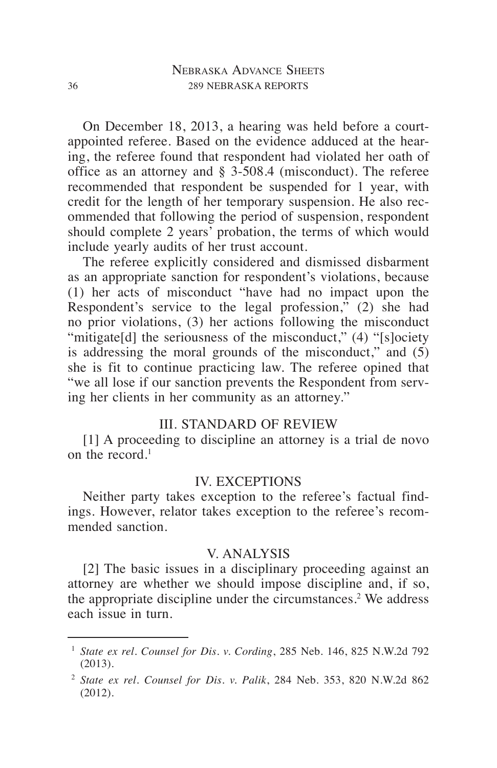On December 18, 2013, a hearing was held before a courtappointed referee. Based on the evidence adduced at the hearing, the referee found that respondent had violated her oath of office as an attorney and § 3-508.4 (misconduct). The referee recommended that respondent be suspended for 1 year, with credit for the length of her temporary suspension. He also recommended that following the period of suspension, respondent should complete 2 years' probation, the terms of which would include yearly audits of her trust account.

The referee explicitly considered and dismissed disbarment as an appropriate sanction for respondent's violations, because (1) her acts of misconduct "have had no impact upon the Respondent's service to the legal profession," (2) she had no prior violations, (3) her actions following the misconduct "mitigate[d] the seriousness of the misconduct," (4) "[s]ociety is addressing the moral grounds of the misconduct," and  $(5)$ she is fit to continue practicing law. The referee opined that "we all lose if our sanction prevents the Respondent from serving her clients in her community as an attorney."

#### III. STANDARD OF REVIEW

[1] A proceeding to discipline an attorney is a trial de novo on the record.<sup>1</sup>

#### IV. EXCEPTIONS

Neither party takes exception to the referee's factual findings. However, relator takes exception to the referee's recommended sanction.

### V. ANALYSIS

[2] The basic issues in a disciplinary proceeding against an attorney are whether we should impose discipline and, if so, the appropriate discipline under the circumstances.<sup>2</sup> We address each issue in turn.

<sup>1</sup> *State ex rel. Counsel for Dis. v. Cording*, 285 Neb. 146, 825 N.W.2d 792 (2013).

<sup>2</sup> *State ex rel. Counsel for Dis. v. Palik*, 284 Neb. 353, 820 N.W.2d 862 (2012).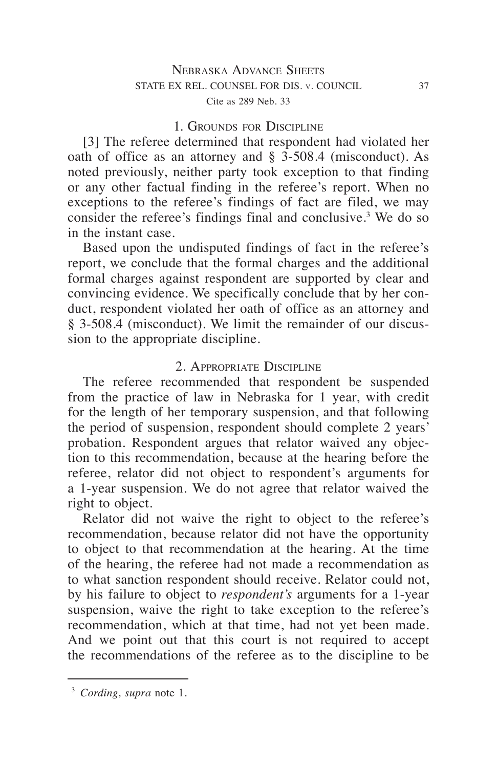### 1. Grounds for Discipline

[3] The referee determined that respondent had violated her oath of office as an attorney and § 3-508.4 (misconduct). As noted previously, neither party took exception to that finding or any other factual finding in the referee's report. When no exceptions to the referee's findings of fact are filed, we may consider the referee's findings final and conclusive.<sup>3</sup> We do so in the instant case.

Based upon the undisputed findings of fact in the referee's report, we conclude that the formal charges and the additional formal charges against respondent are supported by clear and convincing evidence. We specifically conclude that by her conduct, respondent violated her oath of office as an attorney and § 3-508.4 (misconduct). We limit the remainder of our discussion to the appropriate discipline.

### 2. Appropriate Discipline

The referee recommended that respondent be suspended from the practice of law in Nebraska for 1 year, with credit for the length of her temporary suspension, and that following the period of suspension, respondent should complete 2 years' probation. Respondent argues that relator waived any objection to this recommendation, because at the hearing before the referee, relator did not object to respondent's arguments for a 1-year suspension. We do not agree that relator waived the right to object.

Relator did not waive the right to object to the referee's recommendation, because relator did not have the opportunity to object to that recommendation at the hearing. At the time of the hearing, the referee had not made a recommendation as to what sanction respondent should receive. Relator could not, by his failure to object to *respondent's* arguments for a 1-year suspension, waive the right to take exception to the referee's recommendation, which at that time, had not yet been made. And we point out that this court is not required to accept the recommendations of the referee as to the discipline to be

<sup>3</sup> *Cording, supra* note 1.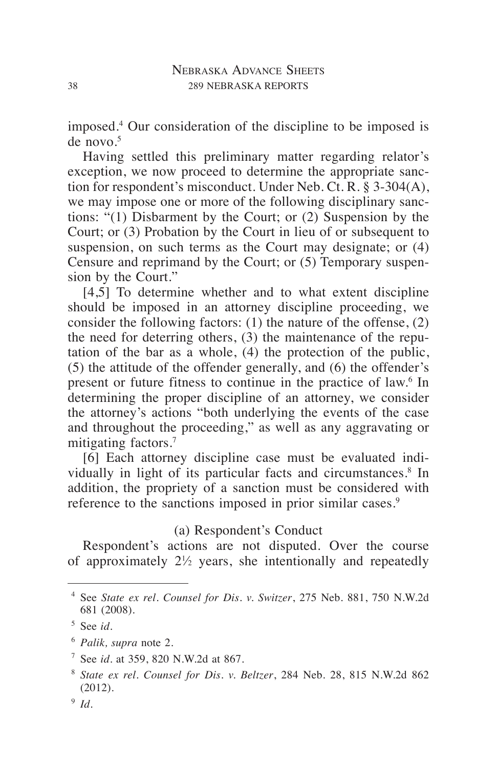imposed.4 Our consideration of the discipline to be imposed is  $de novo.<sup>5</sup>$ 

Having settled this preliminary matter regarding relator's exception, we now proceed to determine the appropriate sanction for respondent's misconduct. Under Neb. Ct. R. § 3-304(A), we may impose one or more of the following disciplinary sanctions: "(1) Disbarment by the Court; or (2) Suspension by the Court; or (3) Probation by the Court in lieu of or subsequent to suspension, on such terms as the Court may designate; or (4) Censure and reprimand by the Court; or (5) Temporary suspension by the Court."

[4,5] To determine whether and to what extent discipline should be imposed in an attorney discipline proceeding, we consider the following factors: (1) the nature of the offense, (2) the need for deterring others, (3) the maintenance of the reputation of the bar as a whole, (4) the protection of the public, (5) the attitude of the offender generally, and (6) the offender's present or future fitness to continue in the practice of law.<sup>6</sup> In determining the proper discipline of an attorney, we consider the attorney's actions "both underlying the events of the case and throughout the proceeding," as well as any aggravating or mitigating factors.<sup>7</sup>

[6] Each attorney discipline case must be evaluated individually in light of its particular facts and circumstances.<sup>8</sup> In addition, the propriety of a sanction must be considered with reference to the sanctions imposed in prior similar cases.<sup>9</sup>

## (a) Respondent's Conduct

Respondent's actions are not disputed. Over the course of approximately 21 ⁄2 years, she intentionally and repeatedly

<sup>4</sup> See *State ex rel. Counsel for Dis. v. Switzer*, 275 Neb. 881, 750 N.W.2d 681 (2008).

<sup>5</sup> See *id.*

<sup>6</sup> *Palik, supra* note 2.

<sup>7</sup> See *id.* at 359, 820 N.W.2d at 867.

<sup>8</sup> *State ex rel. Counsel for Dis. v. Beltzer*, 284 Neb. 28, 815 N.W.2d 862 (2012).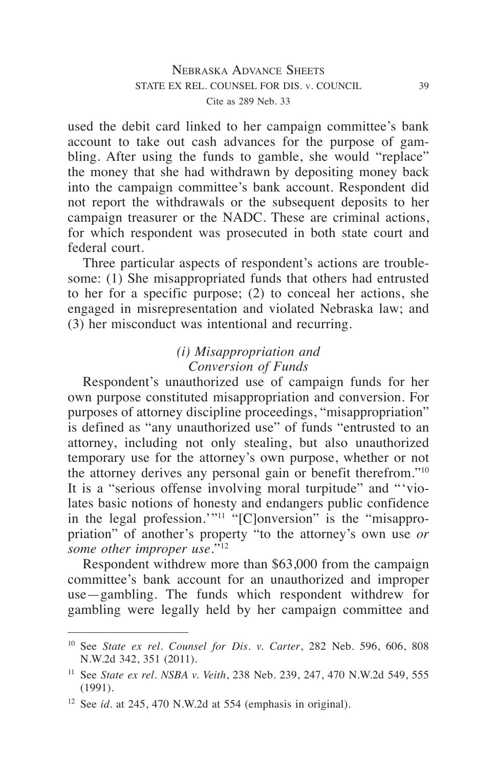used the debit card linked to her campaign committee's bank account to take out cash advances for the purpose of gambling. After using the funds to gamble, she would "replace" the money that she had withdrawn by depositing money back into the campaign committee's bank account. Respondent did not report the withdrawals or the subsequent deposits to her campaign treasurer or the NADC. These are criminal actions, for which respondent was prosecuted in both state court and federal court.

Three particular aspects of respondent's actions are troublesome: (1) She misappropriated funds that others had entrusted to her for a specific purpose; (2) to conceal her actions, she engaged in misrepresentation and violated Nebraska law; and (3) her misconduct was intentional and recurring.

# *(i) Misappropriation and Conversion of Funds*

Respondent's unauthorized use of campaign funds for her own purpose constituted misappropriation and conversion. For purposes of attorney discipline proceedings, "misappropriation" is defined as "any unauthorized use" of funds "entrusted to an attorney, including not only stealing, but also unauthorized temporary use for the attorney's own purpose, whether or not the attorney derives any personal gain or benefit therefrom."10 It is a "serious offense involving moral turpitude" and "'violates basic notions of honesty and endangers public confidence in the legal profession.'"<sup>11</sup> "[C]onversion" is the "misappropriation" of another's property "to the attorney's own use *or some other improper use*."12

Respondent withdrew more than \$63,000 from the campaign committee's bank account for an unauthorized and improper use—gambling. The funds which respondent withdrew for gambling were legally held by her campaign committee and

<sup>10</sup> See *State ex rel. Counsel for Dis. v. Carter*, 282 Neb. 596, 606, 808 N.W.2d 342, 351 (2011).

<sup>11</sup> See *State ex rel. NSBA v. Veith*, 238 Neb. 239, 247, 470 N.W.2d 549, 555 (1991).

<sup>12</sup> See *id.* at 245, 470 N.W.2d at 554 (emphasis in original).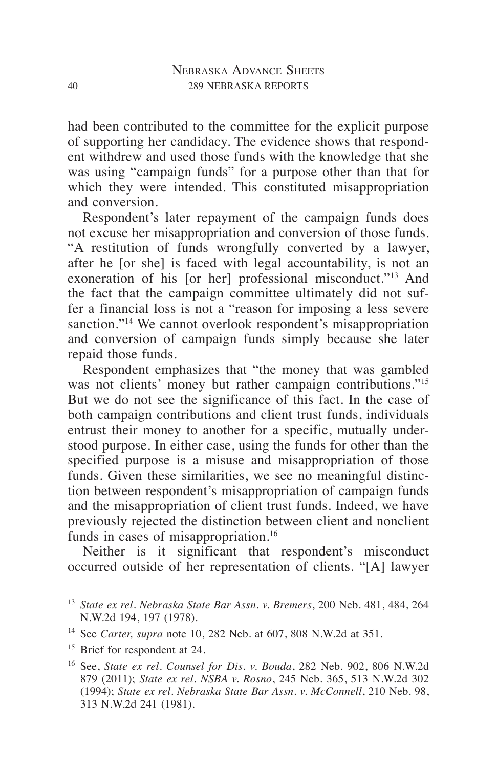had been contributed to the committee for the explicit purpose of supporting her candidacy. The evidence shows that respondent withdrew and used those funds with the knowledge that she was using "campaign funds" for a purpose other than that for which they were intended. This constituted misappropriation and conversion.

Respondent's later repayment of the campaign funds does not excuse her misappropriation and conversion of those funds. "A restitution of funds wrongfully converted by a lawyer, after he [or she] is faced with legal accountability, is not an exoneration of his [or her] professional misconduct."13 And the fact that the campaign committee ultimately did not suffer a financial loss is not a "reason for imposing a less severe sanction."<sup>14</sup> We cannot overlook respondent's misappropriation and conversion of campaign funds simply because she later repaid those funds.

Respondent emphasizes that "the money that was gambled was not clients' money but rather campaign contributions."<sup>15</sup> But we do not see the significance of this fact. In the case of both campaign contributions and client trust funds, individuals entrust their money to another for a specific, mutually understood purpose. In either case, using the funds for other than the specified purpose is a misuse and misappropriation of those funds. Given these similarities, we see no meaningful distinction between respondent's misappropriation of campaign funds and the misappropriation of client trust funds. Indeed, we have previously rejected the distinction between client and nonclient funds in cases of misappropriation.<sup>16</sup>

Neither is it significant that respondent's misconduct occurred outside of her representation of clients. "[A] lawyer

<sup>13</sup> *State ex rel. Nebraska State Bar Assn. v. Bremers*, 200 Neb. 481, 484, 264 N.W.2d 194, 197 (1978).

<sup>14</sup> See *Carter, supra* note 10, 282 Neb. at 607, 808 N.W.2d at 351.

<sup>&</sup>lt;sup>15</sup> Brief for respondent at 24.

<sup>16</sup> See, *State ex rel. Counsel for Dis. v. Bouda*, 282 Neb. 902, 806 N.W.2d 879 (2011); *State ex rel. NSBA v. Rosno*, 245 Neb. 365, 513 N.W.2d 302 (1994); *State ex rel. Nebraska State Bar Assn. v. McConnell*, 210 Neb. 98, 313 N.W.2d 241 (1981).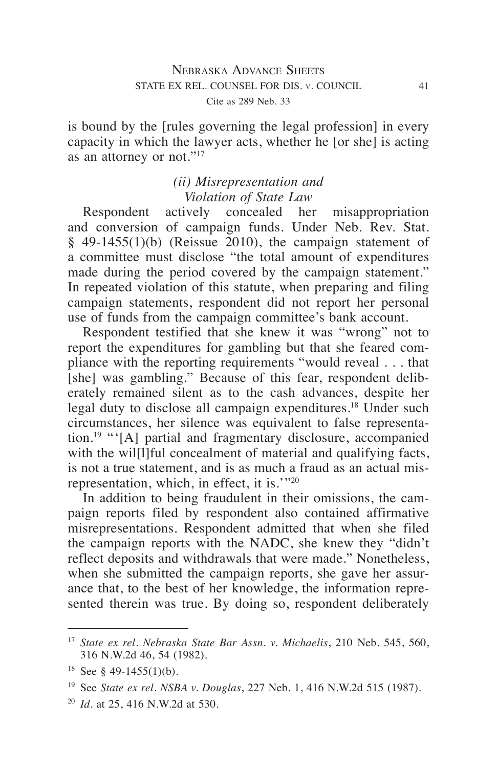is bound by the [rules governing the legal profession] in every capacity in which the lawyer acts, whether he [or she] is acting as an attorney or not."17

# *(ii) Misrepresentation and Violation of State Law*

Respondent actively concealed her misappropriation and conversion of campaign funds. Under Neb. Rev. Stat.  $§$  49-1455(1)(b) (Reissue 2010), the campaign statement of a committee must disclose "the total amount of expenditures made during the period covered by the campaign statement." In repeated violation of this statute, when preparing and filing campaign statements, respondent did not report her personal use of funds from the campaign committee's bank account.

Respondent testified that she knew it was "wrong" not to report the expenditures for gambling but that she feared compliance with the reporting requirements "would reveal . . . that [she] was gambling." Because of this fear, respondent deliberately remained silent as to the cash advances, despite her legal duty to disclose all campaign expenditures.<sup>18</sup> Under such circumstances, her silence was equivalent to false representation.19 "'[A] partial and fragmentary disclosure, accompanied with the will liful concealment of material and qualifying facts, is not a true statement, and is as much a fraud as an actual misrepresentation, which, in effect, it is.'"20

In addition to being fraudulent in their omissions, the campaign reports filed by respondent also contained affirmative misrepresentations. Respondent admitted that when she filed the campaign reports with the NADC, she knew they "didn't reflect deposits and withdrawals that were made." Nonetheless, when she submitted the campaign reports, she gave her assurance that, to the best of her knowledge, the information represented therein was true. By doing so, respondent deliberately

<sup>17</sup> *State ex rel. Nebraska State Bar Assn. v. Michaelis*, 210 Neb. 545, 560, 316 N.W.2d 46, 54 (1982).

<sup>&</sup>lt;sup>18</sup> See § 49-1455(1)(b).

<sup>19</sup> See *State ex rel. NSBA v. Douglas*, 227 Neb. 1, 416 N.W.2d 515 (1987).

<sup>20</sup> *Id.* at 25, 416 N.W.2d at 530.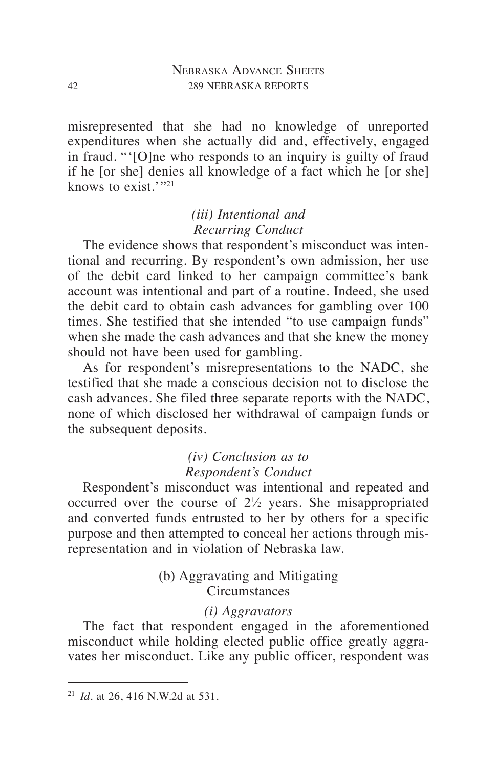misrepresented that she had no knowledge of unreported expenditures when she actually did and, effectively, engaged in fraud. "'[O]ne who responds to an inquiry is guilty of fraud if he [or she] denies all knowledge of a fact which he [or she] knows to exist. $v_{21}$ 

# *(iii) Intentional and Recurring Conduct*

The evidence shows that respondent's misconduct was intentional and recurring. By respondent's own admission, her use of the debit card linked to her campaign committee's bank account was intentional and part of a routine. Indeed, she used the debit card to obtain cash advances for gambling over 100 times. She testified that she intended "to use campaign funds" when she made the cash advances and that she knew the money should not have been used for gambling.

As for respondent's misrepresentations to the NADC, she testified that she made a conscious decision not to disclose the cash advances. She filed three separate reports with the NADC, none of which disclosed her withdrawal of campaign funds or the subsequent deposits.

# *(iv) Conclusion as to Respondent's Conduct*

Respondent's misconduct was intentional and repeated and occurred over the course of 21 ⁄2 years. She misappropriated and converted funds entrusted to her by others for a specific purpose and then attempted to conceal her actions through misrepresentation and in violation of Nebraska law.

# (b) Aggravating and Mitigating **Circumstances**

# *(i) Aggravators*

The fact that respondent engaged in the aforementioned misconduct while holding elected public office greatly aggravates her misconduct. Like any public officer, respondent was

<sup>21</sup> *Id.* at 26, 416 N.W.2d at 531.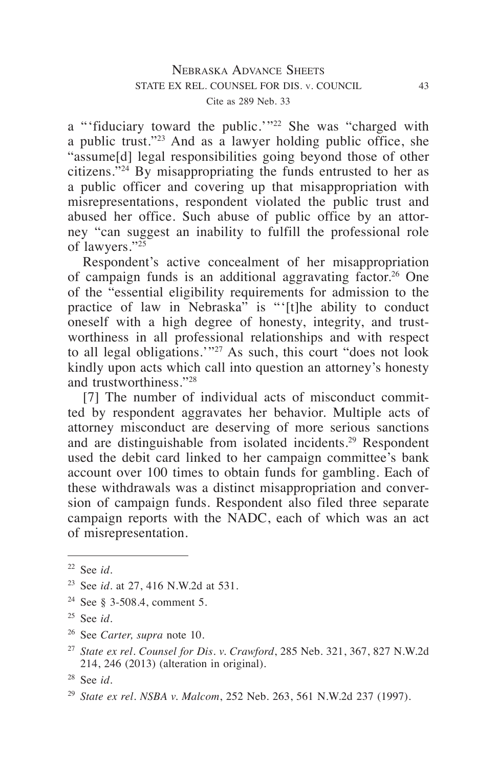a "'fiduciary toward the public.'"<sup>22</sup> She was "charged with a public trust."23 And as a lawyer holding public office, she "assume[d] legal responsibilities going beyond those of other citizens."24 By misappropriating the funds entrusted to her as a public officer and covering up that misappropriation with misrepresentations, respondent violated the public trust and abused her office. Such abuse of public office by an attorney "can suggest an inability to fulfill the professional role of lawyers."25

Respondent's active concealment of her misappropriation of campaign funds is an additional aggravating factor.26 One of the "essential eligibility requirements for admission to the practice of law in Nebraska" is "'[t]he ability to conduct oneself with a high degree of honesty, integrity, and trustworthiness in all professional relationships and with respect to all legal obligations.'"27 As such, this court "does not look kindly upon acts which call into question an attorney's honesty and trustworthiness."28

[7] The number of individual acts of misconduct committed by respondent aggravates her behavior. Multiple acts of attorney misconduct are deserving of more serious sanctions and are distinguishable from isolated incidents.29 Respondent used the debit card linked to her campaign committee's bank account over 100 times to obtain funds for gambling. Each of these withdrawals was a distinct misappropriation and conversion of campaign funds. Respondent also filed three separate campaign reports with the NADC, each of which was an act of misrepresentation.

<sup>22</sup> See *id*.

<sup>23</sup> See *id*. at 27, 416 N.W.2d at 531.

<sup>&</sup>lt;sup>24</sup> See § 3-508.4, comment 5.

<sup>25</sup> See *id.*

<sup>26</sup> See *Carter, supra* note 10.

<sup>27</sup> *State ex rel. Counsel for Dis. v. Crawford*, 285 Neb. 321, 367, 827 N.W.2d 214, 246 (2013) (alteration in original).

<sup>28</sup> See *id*.

<sup>29</sup> *State ex rel. NSBA v. Malcom*, 252 Neb. 263, 561 N.W.2d 237 (1997).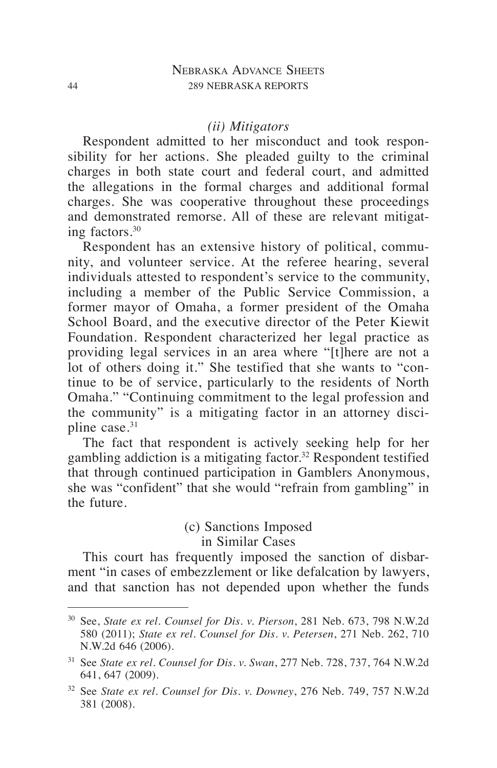#### *(ii) Mitigators*

Respondent admitted to her misconduct and took responsibility for her actions. She pleaded guilty to the criminal charges in both state court and federal court, and admitted the allegations in the formal charges and additional formal charges. She was cooperative throughout these proceedings and demonstrated remorse. All of these are relevant mitigating factors.30

Respondent has an extensive history of political, community, and volunteer service. At the referee hearing, several individuals attested to respondent's service to the community, including a member of the Public Service Commission, a former mayor of Omaha, a former president of the Omaha School Board, and the executive director of the Peter Kiewit Foundation. Respondent characterized her legal practice as providing legal services in an area where "[t]here are not a lot of others doing it." She testified that she wants to "continue to be of service, particularly to the residents of North Omaha." "Continuing commitment to the legal profession and the community" is a mitigating factor in an attorney discipline case.<sup>31</sup>

The fact that respondent is actively seeking help for her gambling addiction is a mitigating factor.<sup>32</sup> Respondent testified that through continued participation in Gamblers Anonymous, she was "confident" that she would "refrain from gambling" in the future.

## (c) Sanctions Imposed in Similar Cases

This court has frequently imposed the sanction of disbarment "in cases of embezzlement or like defalcation by lawyers, and that sanction has not depended upon whether the funds

<sup>30</sup> See, *State ex rel. Counsel for Dis. v. Pierson*, 281 Neb. 673, 798 N.W.2d 580 (2011); *State ex rel. Counsel for Dis. v. Petersen*, 271 Neb. 262, 710 N.W.2d 646 (2006).

<sup>31</sup> See *State ex rel. Counsel for Dis. v. Swan*, 277 Neb. 728, 737, 764 N.W.2d 641, 647 (2009).

<sup>32</sup> See *State ex rel. Counsel for Dis. v. Downey*, 276 Neb. 749, 757 N.W.2d 381 (2008).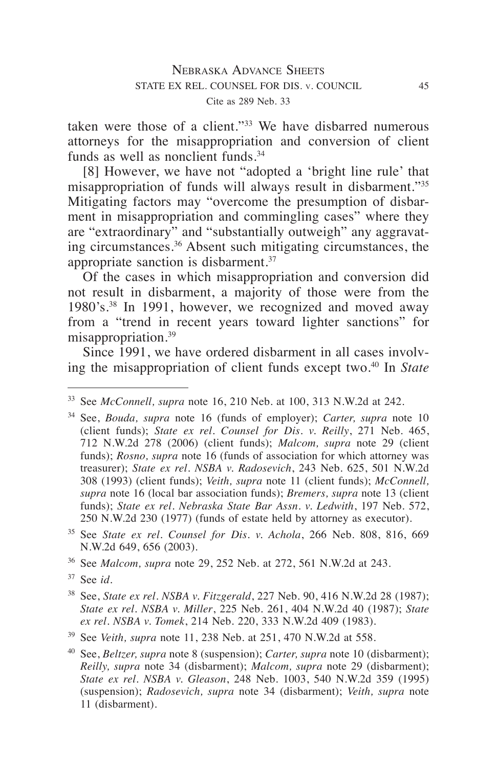taken were those of a client."33 We have disbarred numerous attorneys for the misappropriation and conversion of client funds as well as nonclient funds.<sup>34</sup>

[8] However, we have not "adopted a 'bright line rule' that misappropriation of funds will always result in disbarment."35 Mitigating factors may "overcome the presumption of disbarment in misappropriation and commingling cases" where they are "extraordinary" and "substantially outweigh" any aggravating circumstances.36 Absent such mitigating circumstances, the appropriate sanction is disbarment.37

Of the cases in which misappropriation and conversion did not result in disbarment, a majority of those were from the 1980's.38 In 1991, however, we recognized and moved away from a "trend in recent years toward lighter sanctions" for misappropriation.<sup>39</sup>

Since 1991, we have ordered disbarment in all cases involving the misappropriation of client funds except two.40 In *State* 

<sup>36</sup> See *Malcom, supra* note 29, 252 Neb. at 272, 561 N.W.2d at 243.

<sup>33</sup> See *McConnell, supra* note 16, 210 Neb. at 100, 313 N.W.2d at 242.

<sup>34</sup> See, *Bouda, supra* note 16 (funds of employer); *Carter, supra* note 10 (client funds); *State ex rel. Counsel for Dis. v. Reilly*, 271 Neb. 465, 712 N.W.2d 278 (2006) (client funds); *Malcom, supra* note 29 (client funds); *Rosno, supra* note 16 (funds of association for which attorney was treasurer); *State ex rel. NSBA v. Radosevich*, 243 Neb. 625, 501 N.W.2d 308 (1993) (client funds); *Veith, supra* note 11 (client funds); *McConnell, supra* note 16 (local bar association funds); *Bremers, supra* note 13 (client funds); *State ex rel. Nebraska State Bar Assn. v. Ledwith*, 197 Neb. 572, 250 N.W.2d 230 (1977) (funds of estate held by attorney as executor).

<sup>35</sup> See *State ex rel. Counsel for Dis. v. Achola*, 266 Neb. 808, 816, 669 N.W.2d 649, 656 (2003).

<sup>37</sup> See *id.*

<sup>38</sup> See, *State ex rel. NSBA v. Fitzgerald*, 227 Neb. 90, 416 N.W.2d 28 (1987); *State ex rel. NSBA v. Miller*, 225 Neb. 261, 404 N.W.2d 40 (1987); *State ex rel. NSBA v. Tomek*, 214 Neb. 220, 333 N.W.2d 409 (1983).

<sup>39</sup> See *Veith, supra* note 11, 238 Neb. at 251, 470 N.W.2d at 558.

<sup>40</sup> See, *Beltzer, supra* note 8 (suspension); *Carter, supra* note 10 (disbarment); *Reilly, supra* note 34 (disbarment); *Malcom, supra* note 29 (disbarment); *State ex rel. NSBA v. Gleason*, 248 Neb. 1003, 540 N.W.2d 359 (1995) (suspension); *Radosevich, supra* note 34 (disbarment); *Veith, supra* note 11 (disbarment).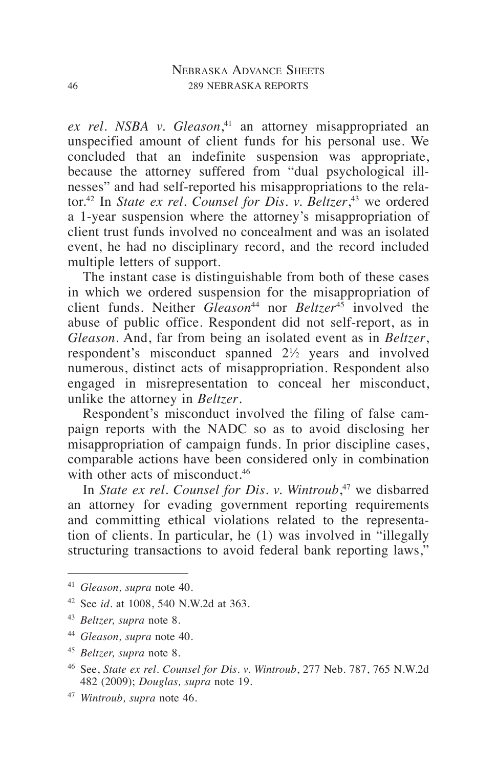*ex rel. NSBA v. Gleason*, 41 an attorney misappropriated an unspecified amount of client funds for his personal use. We concluded that an indefinite suspension was appropriate, because the attorney suffered from "dual psychological illnesses" and had self-reported his misappropriations to the relator.42 In *State ex rel. Counsel for Dis. v. Beltzer*, 43 we ordered a 1-year suspension where the attorney's misappropriation of client trust funds involved no concealment and was an isolated event, he had no disciplinary record, and the record included multiple letters of support.

The instant case is distinguishable from both of these cases in which we ordered suspension for the misappropriation of client funds. Neither *Gleason*44 nor *Beltzer*45 involved the abuse of public office. Respondent did not self-report, as in *Gleason*. And, far from being an isolated event as in *Beltzer*, respondent's misconduct spanned  $2\frac{1}{2}$  years and involved numerous, distinct acts of misappropriation. Respondent also engaged in misrepresentation to conceal her misconduct, unlike the attorney in *Beltzer*.

Respondent's misconduct involved the filing of false campaign reports with the NADC so as to avoid disclosing her misappropriation of campaign funds. In prior discipline cases, comparable actions have been considered only in combination with other acts of misconduct.<sup>46</sup>

In *State ex rel. Counsel for Dis. v. Wintroub*, 47 we disbarred an attorney for evading government reporting requirements and committing ethical violations related to the representation of clients. In particular, he (1) was involved in "illegally structuring transactions to avoid federal bank reporting laws,"

<sup>41</sup> *Gleason, supra* note 40.

<sup>42</sup> See *id.* at 1008, 540 N.W.2d at 363.

<sup>43</sup> *Beltzer, supra* note 8.

<sup>44</sup> *Gleason, supra* note 40.

<sup>45</sup> *Beltzer, supra* note 8.

<sup>46</sup> See, *State ex rel. Counsel for Dis. v. Wintroub*, 277 Neb. 787, 765 N.W.2d 482 (2009); *Douglas, supra* note 19.

<sup>47</sup> *Wintroub, supra* note 46.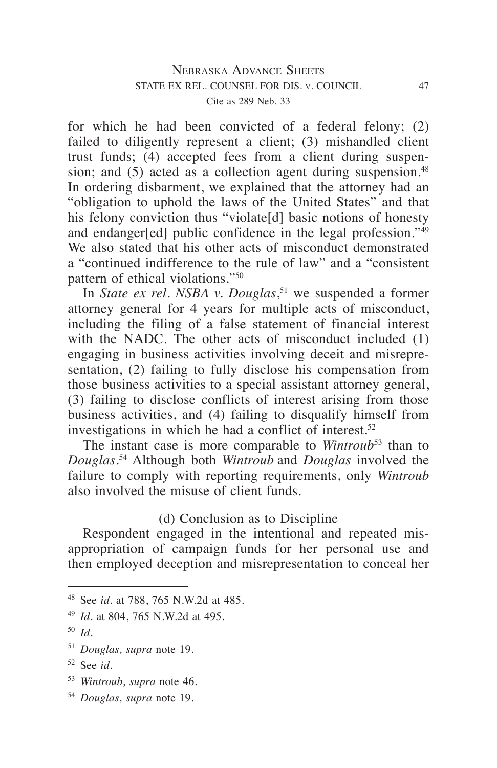for which he had been convicted of a federal felony; (2) failed to diligently represent a client; (3) mishandled client trust funds; (4) accepted fees from a client during suspension; and  $(5)$  acted as a collection agent during suspension.<sup>48</sup> In ordering disbarment, we explained that the attorney had an "obligation to uphold the laws of the United States" and that his felony conviction thus "violate[d] basic notions of honesty and endanger[ed] public confidence in the legal profession."49 We also stated that his other acts of misconduct demonstrated a "continued indifference to the rule of law" and a "consistent pattern of ethical violations."50

In *State ex rel. NSBA v. Douglas*, 51 we suspended a former attorney general for 4 years for multiple acts of misconduct, including the filing of a false statement of financial interest with the NADC. The other acts of misconduct included (1) engaging in business activities involving deceit and misrepresentation, (2) failing to fully disclose his compensation from those business activities to a special assistant attorney general, (3) failing to disclose conflicts of interest arising from those business activities, and (4) failing to disqualify himself from investigations in which he had a conflict of interest.<sup>52</sup>

The instant case is more comparable to *Wintroub*53 than to *Douglas*. 54 Although both *Wintroub* and *Douglas* involved the failure to comply with reporting requirements, only *Wintroub* also involved the misuse of client funds.

## (d) Conclusion as to Discipline

Respondent engaged in the intentional and repeated misappropriation of campaign funds for her personal use and then employed deception and misrepresentation to conceal her

<sup>54</sup> *Douglas, supra* note 19.

<sup>48</sup> See *id.* at 788, 765 N.W.2d at 485.

<sup>49</sup> *Id.* at 804, 765 N.W.2d at 495.

<sup>50</sup> *Id.*

<sup>51</sup> *Douglas, supra* note 19.

<sup>52</sup> See *id.*

<sup>53</sup> *Wintroub, supra* note 46.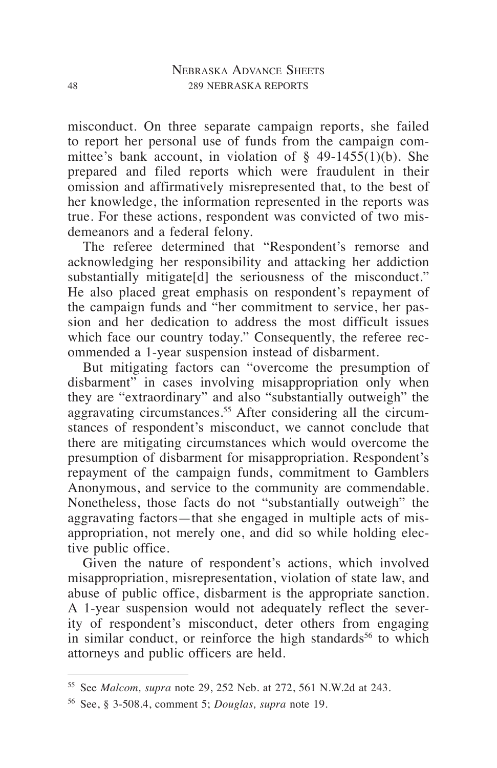misconduct. On three separate campaign reports, she failed to report her personal use of funds from the campaign committee's bank account, in violation of  $\S$  49-1455(1)(b). She prepared and filed reports which were fraudulent in their omission and affirmatively misrepresented that, to the best of her knowledge, the information represented in the reports was true. For these actions, respondent was convicted of two misdemeanors and a federal felony.

The referee determined that "Respondent's remorse and acknowledging her responsibility and attacking her addiction substantially mitigate[d] the seriousness of the misconduct." He also placed great emphasis on respondent's repayment of the campaign funds and "her commitment to service, her passion and her dedication to address the most difficult issues which face our country today." Consequently, the referee recommended a 1-year suspension instead of disbarment.

But mitigating factors can "overcome the presumption of disbarment" in cases involving misappropriation only when they are "extraordinary" and also "substantially outweigh" the aggravating circumstances.<sup>55</sup> After considering all the circumstances of respondent's misconduct, we cannot conclude that there are mitigating circumstances which would overcome the presumption of disbarment for misappropriation. Respondent's repayment of the campaign funds, commitment to Gamblers Anonymous, and service to the community are commendable. Nonetheless, those facts do not "substantially outweigh" the aggravating factors—that she engaged in multiple acts of misappropriation, not merely one, and did so while holding elective public office.

Given the nature of respondent's actions, which involved misappropriation, misrepresentation, violation of state law, and abuse of public office, disbarment is the appropriate sanction. A 1-year suspension would not adequately reflect the severity of respondent's misconduct, deter others from engaging in similar conduct, or reinforce the high standards<sup>56</sup> to which attorneys and public officers are held.

<sup>55</sup> See *Malcom, supra* note 29, 252 Neb. at 272, 561 N.W.2d at 243.

<sup>56</sup> See, § 3-508.4, comment 5; *Douglas, supra* note 19.